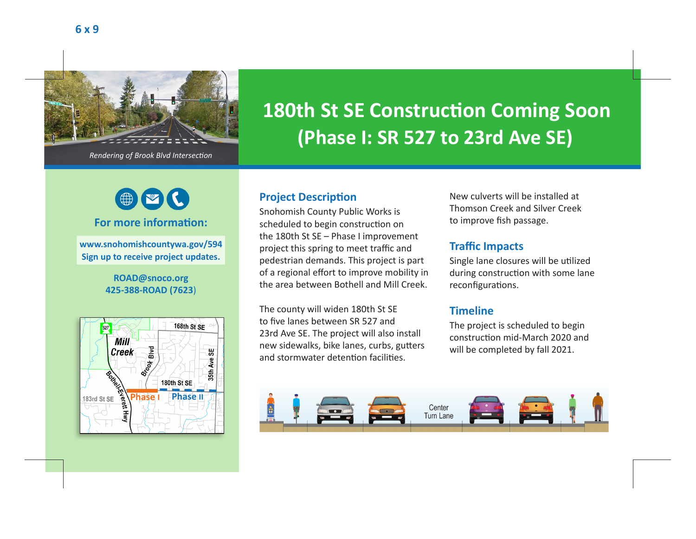

*Rendering of Brook Blvd Intersection*

# $\bigcirc$

### **For more information:**

**www.snohomishcountywa.gov/594 Sign up to receive project updates.**

#### **ROAD@snoco.org 425-388-ROAD (7623**)



## **180th St SE Construction Coming Soon (Phase I: SR 527 to 23rd Ave SE)**

### **Project Description**

Snohomish County Public Works is scheduled to begin construction on the 180th St SE – Phase I improvement project this spring to meet traffic and pedestrian demands. This project is part of a regional effort to improve mobility in the area between Bothell and Mill Creek.

The county will widen 180th St SE to five lanes between SR 527 and 23rd Ave SE. The project will also install new sidewalks, bike lanes, curbs, gutters and stormwater detention facilities.

New culverts will be installed at Thomson Creek and Silver Creek to improve fish passage.

### **Traffic Impacts**

Single lane closures will be utilized during construction with some lane reconfigurations.

### **Timeline**

The project is scheduled to begin construction mid-March 2020 and will be completed by fall 2021.